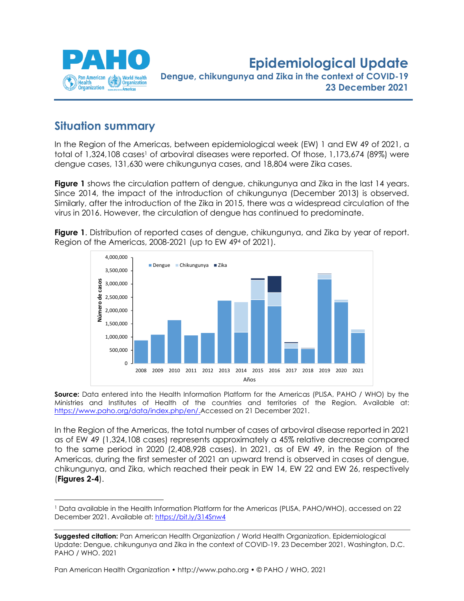

**Epidemiological Update Dengue, chikungunya and Zika in the context of COVID-19 23 December 2021**

## **Situation summary**

In the Region of the Americas, between epidemiological week (EW) 1 and EW 49 of 2021, a total of 1,324,108 cases<sup>1</sup> of arboviral diseases were reported. Of those, 1,173,674 (89%) were dengue cases, 131,630 were chikungunya cases, and 18,804 were Zika cases.

**Figure 1** shows the circulation pattern of dengue, chikungunya and Zika in the last 14 years. Since 2014, the impact of the introduction of chikungunya (December 2013) is observed. Similarly, after the introduction of the Zika in 2015, there was a widespread circulation of the virus in 2016. However, the circulation of dengue has continued to predominate.



**Figure 1**. Distribution of reported cases of dengue, chikungunya, and Zika by year of report. Region of the Americas, 2008-2021 (up to EW 49<sup>4</sup> of 2021).

**Source:** Data entered into the Health Information Platform for the Americas (PLISA, PAHO / WHO) by the Ministries and Institutes of Health of the countries and territories of the Region. Available at: [https://www.paho.org/data/index.php/en/.](https://www.paho.org/data/index.php/en/)Accessed on 21 December 2021.

In the Region of the Americas, the total number of cases of arboviral disease reported in 2021 as of EW 49 (1,324,108 cases) represents approximately a 45% relative decrease compared to the same period in 2020 (2,408,928 cases). In 2021, as of EW 49, in the Region of the Americas, during the first semester of 2021 an upward trend is observed in cases of dengue, chikungunya, and Zika, which reached their peak in EW 14, EW 22 and EW 26, respectively (**Figures 2-4**).

<sup>1</sup> Data available in the Health Information Platform for the Americas (PLISA, PAHO/WHO), accessed on 22 December 2021. Available at:<https://bit.ly/314Snw4>

**Suggested citation:** Pan American Health Organization / World Health Organization. Epidemiological Update: Dengue, chikungunya and Zika in the context of COVID-19. 23 December 2021, Washington, D.C. PAHO / WHO. 2021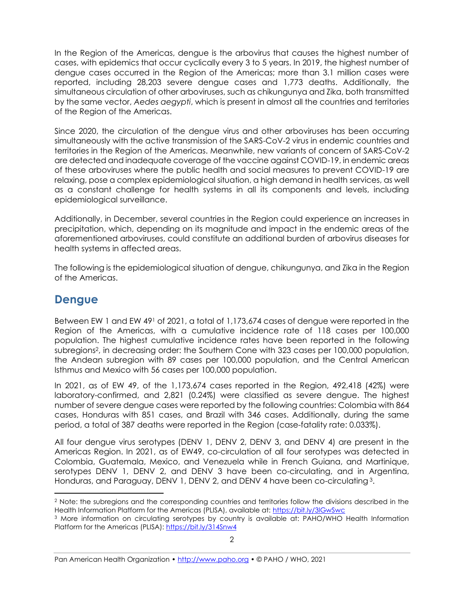In the Region of the Americas, dengue is the arbovirus that causes the highest number of cases, with epidemics that occur cyclically every 3 to 5 years. In 2019, the highest number of dengue cases occurred in the Region of the Americas; more than 3.1 million cases were reported, including 28,203 severe dengue cases and 1,773 deaths. Additionally, the simultaneous circulation of other arboviruses, such as chikungunya and Zika, both transmitted by the same vector, *Aedes aegypti*, which is present in almost all the countries and territories of the Region of the Americas.

Since 2020, the circulation of the dengue virus and other arboviruses has been occurring simultaneously with the active transmission of the SARS-CoV-2 virus in endemic countries and territories in the Region of the Americas. Meanwhile, new variants of concern of SARS-CoV-2 are detected and inadequate coverage of the vaccine against COVID-19, in endemic areas of these arboviruses where the public health and social measures to prevent COVID-19 are relaxing, pose a complex epidemiological situation, a high demand in health services, as well as a constant challenge for health systems in all its components and levels, including epidemiological surveillance.

Additionally, in December, several countries in the Region could experience an increases in precipitation, which, depending on its magnitude and impact in the endemic areas of the aforementioned arboviruses, could constitute an additional burden of arbovirus diseases for health systems in affected areas.

The following is the epidemiological situation of dengue, chikungunya, and Zika in the Region of the Americas.

### **Dengue**

Between EW 1 and EW 49<sup>1</sup> of 2021, a total of 1,173,674 cases of dengue were reported in the Region of the Americas, with a cumulative incidence rate of 118 cases per 100,000 population. The highest cumulative incidence rates have been reported in the following subregions2, in decreasing order: the Southern Cone with 323 cases per 100,000 population, the Andean subregion with 89 cases per 100,000 population, and the Central American Isthmus and Mexico with 56 cases per 100,000 population.

In 2021, as of EW 49, of the 1,173,674 cases reported in the Region, 492,418 (42%) were laboratory-confirmed, and 2,821 (0.24%) were classified as severe dengue. The highest number of severe dengue cases were reported by the following countries: Colombia with 864 cases, Honduras with 851 cases, and Brazil with 346 cases. Additionally, during the same period, a total of 387 deaths were reported in the Region (case-fatality rate: 0.033%).

All four dengue virus serotypes (DENV 1, DENV 2, DENV 3, and DENV 4) are present in the Americas Region. In 2021, as of EW49, co-circulation of all four serotypes was detected in Colombia, Guatemala, Mexico, and Venezuela while in French Guiana, and Martinique, serotypes DENV 1, DENV 2, and DENV 3 have been co-circulating, and in Argentina, Honduras, and Paraguay, DENV 1, DENV 2, and DENV 4 have been co-circulating <sup>3</sup>.

<sup>2</sup> Note: the subregions and the corresponding countries and territories follow the divisions described in the Health Information Platform for the Americas (PLISA), available at:<https://bit.ly/3lGwSwc>

<sup>3</sup> More information on circulating serotypes by country is available at: PAHO/WHO Health Information Platform for the Americas (PLISA):<https://bit.ly/314Snw4>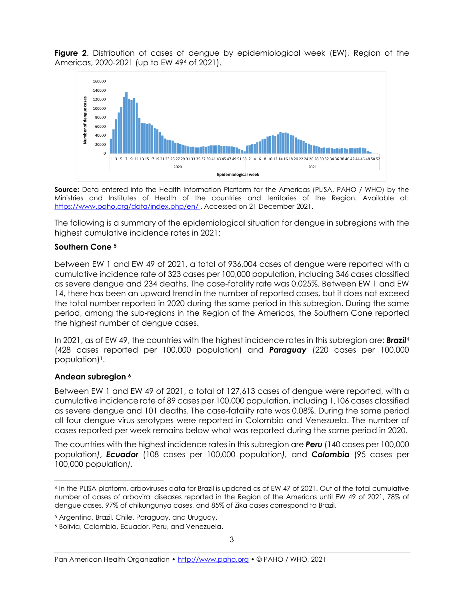**Figure 2**. Distribution of cases of dengue by epidemiological week (EW), Region of the Americas, 2020-2021 (up to EW 49<sup>4</sup> of 2021).



**Source:** Data entered into the Health Information Platform for the Americas (PLISA, PAHO / WHO) by the Ministries and Institutes of Health of the countries and territories of the Region. Available at: <https://www.paho.org/data/index.php/en/> . Accessed on 21 December 2021.

The following is a summary of the epidemiological situation for dengue in subregions with the highest cumulative incidence rates in 2021:

#### **Southern Cone <sup>5</sup>**

between EW 1 and EW 49 of 2021, a total of 936,004 cases of dengue were reported with a cumulative incidence rate of 323 cases per 100,000 population, including 346 cases classified as severe dengue and 234 deaths. The case-fatality rate was 0.025%. Between EW 1 and EW 14, there has been an upward trend in the number of reported cases, but it does not exceed the total number reported in 2020 during the same period in this subregion. During the same period, among the sub-regions in the Region of the Americas, the Southern Cone reported the highest number of dengue cases.

In 2021, as of EW 49, the countries with the highest incidence rates in this subregion are: *Brazil*<sup>4</sup> (428 cases reported per 100,000 population) and *Paraguay* (220 cases per 100,000 population) 1.

#### **Andean subregion <sup>6</sup>**

Between EW 1 and EW 49 of 2021, a total of 127,613 cases of dengue were reported, with a cumulative incidence rate of 89 cases per 100,000 population, including 1,106 cases classified as severe dengue and 101 deaths. The case-fatality rate was 0.08%. During the same period all four dengue virus serotypes were reported in Colombia and Venezuela. The number of cases reported per week remains below what was reported during the same period in 2020.

The countries with the highest incidence rates in this subregion are *Peru* (140 cases per 100,000 population*)*, *Ecuador* (108 cases per 100,000 population*),* and *Colombia* (95 cases per 100,000 population*).*

<sup>4</sup> In the PLISA platform, arboviruses data for Brazil is updated as of EW 47 of 2021. Out of the total cumulative number of cases of arboviral diseases reported in the Region of the Americas until EW 49 of 2021, 78% of dengue cases, 97% of chikungunya cases, and 85% of Zika cases correspond to Brazil.

<sup>5</sup> Argentina, Brazil, Chile, Paraguay, and Uruguay.

<sup>6</sup> Bolivia, Colombia, Ecuador, Peru, and Venezuela.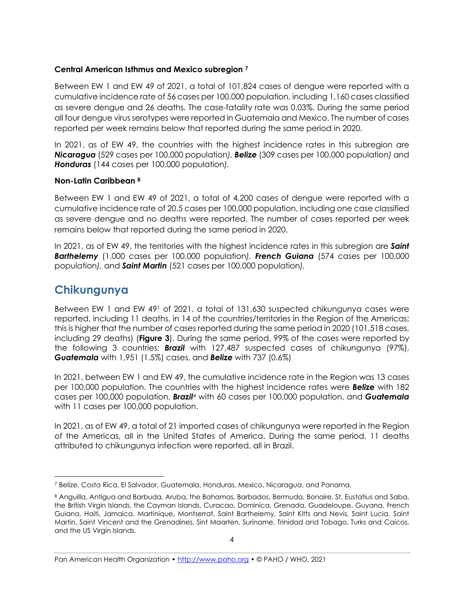### **Central American Isthmus and Mexico subregion <sup>7</sup>**

Between EW 1 and EW 49 of 2021, a total of 101,824 cases of dengue were reported with a cumulative incidence rate of 56 cases per 100,000 population, including 1,160 cases classified as severe dengue and 26 deaths. The case-fatality rate was 0.03%. During the same period all four dengue virus serotypes were reported in Guatemala and Mexico. The number of cases reported per week remains below that reported during the same period in 2020.

In 2021, as of EW 49, the countries with the highest incidence rates in this subregion are *Nicaragua* (529 cases per 100,000 population*), Belize* (309 cases per 100,000 population*)* and *Honduras* (144 cases per 100,000 population*).*

#### **Non-Latin Caribbean <sup>8</sup>**

Between EW 1 and EW 49 of 2021, a total of 4,200 cases of dengue were reported with a cumulative incidence rate of 20.5 cases per 100,000 population, including one case classified as severe dengue and no deaths were reported. The number of cases reported per week remains below that reported during the same period in 2020.

In 2021, as of EW 49, the territories with the highest incidence rates in this subregion are *Saint Barthelemy* (1,000 cases per 100,000 population*), French Guiana* (574 cases per 100,000 population*),* and *Saint Martin* (521 cases per 100,000 population*).*

### **Chikungunya**

Between EW 1 and EW 491 of 2021, a total of 131,630 suspected chikungunya cases were reported, including 11 deaths, in 14 of the countries/territories in the Region of the Americas; this is higher that the number of cases reported during the same period in 2020 (101,518 cases, including 29 deaths) (**Figure 3**). During the same period, 99% of the cases were reported by the following 3 countries: *Brazil* with 127,487 suspected cases of chikungunya (97%), *Guatemala* with 1,951 (1.5%) cases, and *Belize* with 737 (0.6%)

In 2021, between EW 1 and EW 49, the cumulative incidence rate in the Region was 13 cases per 100,000 population. The countries with the highest incidence rates were *Belize* with 182 cases per 100,000 population, *Brazil*<sup>4</sup> with 60 cases per 100,000 population, and *Guatemala* with 11 cases per 100,000 population.

In 2021, as of EW 49, a total of 21 imported cases of chikungunya were reported in the Region of the Americas, all in the United States of America. During the same period, 11 deaths attributed to chikungunya infection were reported, all in Brazil.

<sup>7</sup> Belize, Costa Rica, El Salvador, Guatemala, Honduras, Mexico, Nicaragua, and Panama.

<sup>8</sup> Anguilla, Antigua and Barbuda, Aruba, the Bahamas, Barbados, Bermuda, Bonaire, St. Eustatius and Saba, the British Virgin Islands, the Cayman Islands, Curacao, Dominica, Grenada, Guadeloupe, Guyana, French Guiana, Haiti, Jamaica, Martinique, Montserrat, Saint Barthelemy, Saint Kitts and Nevis, Saint Lucia, Saint Martin, Saint Vincent and the Grenadines, Sint Maarten, Suriname, Trinidad and Tobago, Turks and Caicos, and the US Virgin Islands.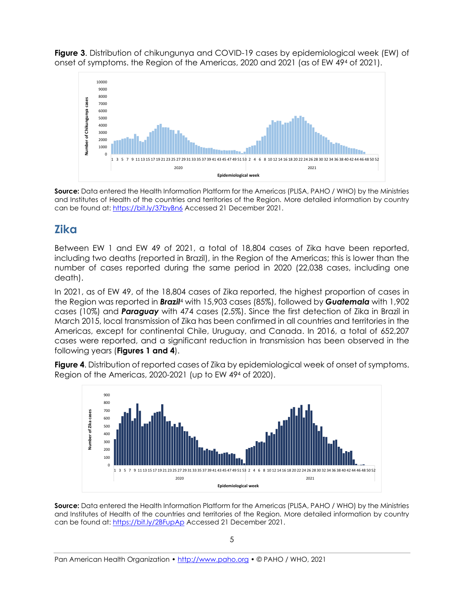**Figure 3**. Distribution of chikungunya and COVID-19 cases by epidemiological week (EW) of onset of symptoms. the Region of the Americas, 2020 and 2021 (as of EW 49<sup>4</sup> of 2021).



**Source:** Data entered the Health Information Platform for the Americas (PLISA, PAHO / WHO) by the Ministries and Institutes of Health of the countries and territories of the Region. More detailed information by country can be found at: <https://bit.ly/37byBn6> Accessed 21 December 2021.

## **Zika**

Between EW 1 and EW 49 of 2021, a total of 18,804 cases of Zika have been reported, including two deaths (reported in Brazil), in the Region of the Americas; this is lower than the number of cases reported during the same period in 2020 (22,038 cases, including one death).

In 2021, as of EW 49, of the 18,804 cases of Zika reported, the highest proportion of cases in the Region was reported in *Brazil*<sup>4</sup> with 15,903 cases (85%), followed by *Guatemala* with 1,902 cases (10%) and *Paraguay* with 474 cases (2.5%). Since the first detection of Zika in Brazil in March 2015, local transmission of Zika has been confirmed in all countries and territories in the Americas, except for continental Chile, Uruguay, and Canada. In 2016, a total of 652,207 cases were reported, and a significant reduction in transmission has been observed in the following years (**Figures 1 and 4**).

**Figure 4**. Distribution of reported cases of Zika by epidemiological week of onset of symptoms. Region of the Americas, 2020-2021 (up to EW 49<sup>4</sup> of 2020).



**Source:** Data entered the Health Information Platform for the Americas (PLISA, PAHO / WHO) by the Ministries and Institutes of Health of the countries and territories of the Region. More detailed information by country can be found at: <https://bit.ly/2BFupAp> Accessed 21 December 2021.